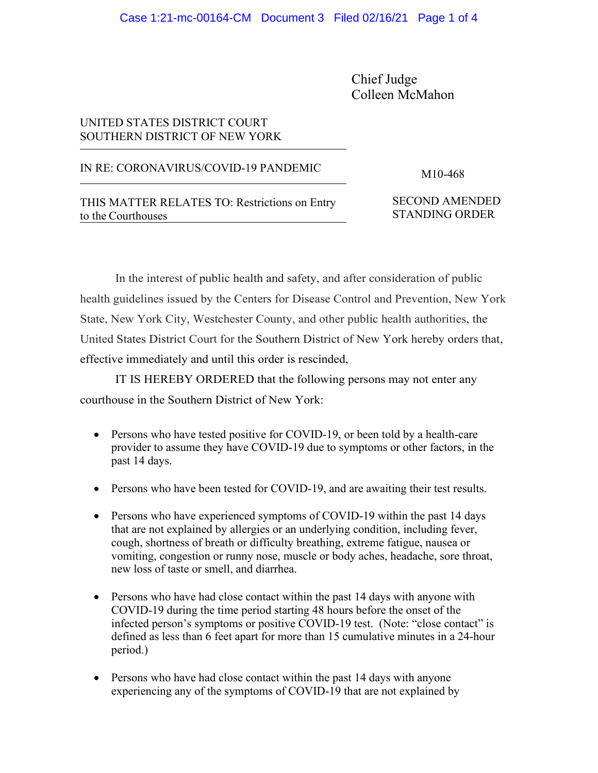Chief Judge Colleen McMahon

## UNITED STATES DISTRICT COURT SOUTHERN DISTRICT OF NEW YORK

## IN RE: CORONAVIRUS/COVID-19 PANDEMIC M10-468

THIS MATTER RELATES TO: Restrictions on Entry to the Courthouses

SECOND AMENDED STANDING ORDER

In the interest of public health and safety, and after consideration of public health guidelines issued by the Centers for Disease Control and Prevention, New York State, New York City, Westchester County, and other public health authorities, the United States District Court for the Southern District of New York hereby orders that, effective immediately and until this order is rescinded,

IT IS HEREBY ORDERED that the following persons may not enter any courthouse in the Southern District of New York:

- Persons who have tested positive for COVID-19, or been told by a health-care provider to assume they have COVID-19 due to symptoms or other factors, in the past 14 days.
- Persons who have been tested for COVID-19, and are awaiting their test results.
- Persons who have experienced symptoms of COVID-19 within the past 14 days that are not explained by allergies or an underlying condition, including fever, cough, shortness of breath or difficulty breathing, extreme fatigue, nausea or vomiting, congestion or runny nose, muscle or body aches, headache, sore throat, new loss of taste or smell, and diarrhea.
- Persons who have had close contact within the past 14 days with anyone with COVID-19 during the time period starting 48 hours before the onset of the infected person's symptoms or positive COVID-19 test. (Note: "close contact" is defined as less than 6 feet apart for more than 15 cumulative minutes in a 24-hour period.)
- Persons who have had close contact within the past 14 days with anyone experiencing any of the symptoms of COVID-19 that are not explained by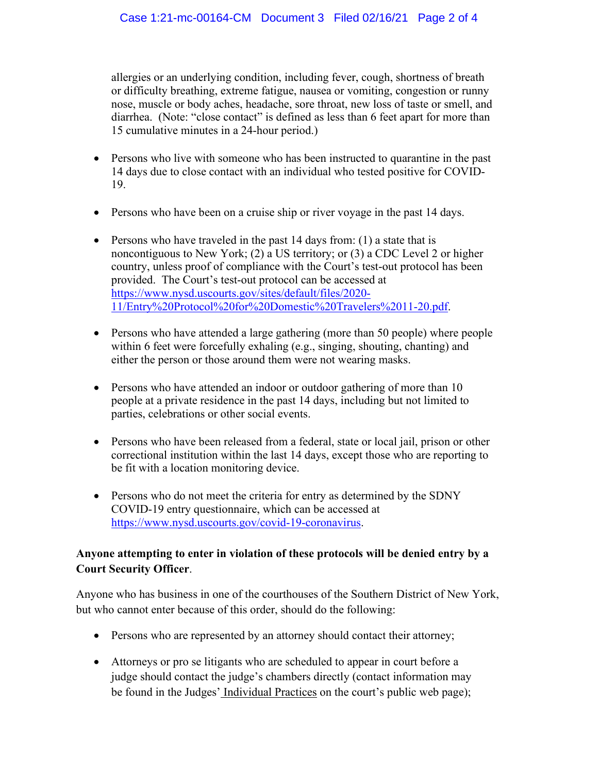allergies or an underlying condition, including fever, cough, shortness of breath or difficulty breathing, extreme fatigue, nausea or vomiting, congestion or runny nose, muscle or body aches, headache, sore throat, new loss of taste or smell, and diarrhea. (Note: "close contact" is defined as less than 6 feet apart for more than 15 cumulative minutes in a 24-hour period.)

- Persons who live with someone who has been instructed to quarantine in the past 14 days due to close contact with an individual who tested positive for COVID-19.
- Persons who have been on a cruise ship or river voyage in the past 14 days.
- Persons who have traveled in the past 14 days from: (1) a state that is noncontiguous to New York; (2) a US territory; or (3) a CDC Level 2 or higher country, unless proof of compliance with the Court's test-out protocol has been provided. The Court's test-out protocol can be accessed at [https://www.nysd.uscourts.gov/sites/default/files/2020-](https://www.nysd.uscourts.gov/sites/default/files/2020-11/Entry%20Protocol%20for%20Domestic%20Travelers%2011-20.pdf) [11/Entry%20Protocol%20for%20Domestic%20Travelers%2011-20.pdf.](https://www.nysd.uscourts.gov/sites/default/files/2020-11/Entry%20Protocol%20for%20Domestic%20Travelers%2011-20.pdf)
- Persons who have attended a large gathering (more than 50 people) where people within 6 feet were forcefully exhaling (e.g., singing, shouting, chanting) and either the person or those around them were not wearing masks.
- Persons who have attended an indoor or outdoor gathering of more than 10 people at a private residence in the past 14 days, including but not limited to parties, celebrations or other social events.
- Persons who have been released from a federal, state or local jail, prison or other correctional institution within the last 14 days, except those who are reporting to be fit with a location monitoring device.
- Persons who do not meet the criteria for entry as determined by the SDNY COVID-19 entry questionnaire, which can be accessed at [https://www.nysd.uscourts.gov/covid-19-coronavirus.](https://www.nysd.uscourts.gov/covid-19-coronavirus)

## **Anyone attempting to enter in violation of these protocols will be denied entry by a Court Security Officer**.

Anyone who has business in one of the courthouses of the Southern District of New York, but who cannot enter because of this order, should do the following:

- Persons who are represented by an attorney should contact their attorney;
- Attorneys or pro se litigants who are scheduled to appear in court before a judge should contact the judge's chambers directly (contact information may be found in the Judges' [Individual](https://nysd.uscourts.gov/judges) Practices on the court's public web page);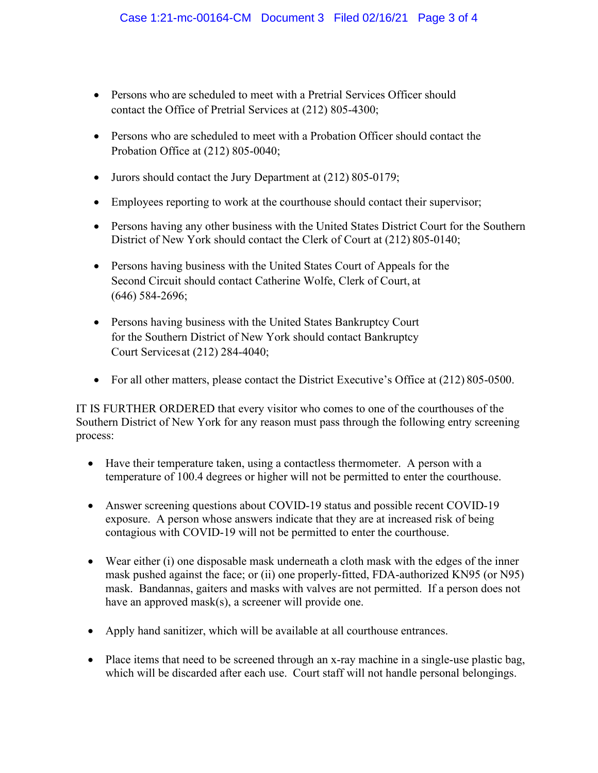- Persons who are scheduled to meet with a Pretrial Services Officer should contact the Office of Pretrial Services at (212) 805-4300;
- Persons who are scheduled to meet with a Probation Officer should contact the Probation Office at (212) 805-0040;
- Jurors should contact the Jury Department at (212) 805-0179;
- Employees reporting to work at the courthouse should contact their supervisor;
- Persons having any other business with the United States District Court for the Southern District of New York should contact the Clerk of Court at (212) 805-0140;
- Persons having business with the United States Court of Appeals for the Second Circuit should contact Catherine Wolfe, Clerk of Court, at (646) 584-2696;
- Persons having business with the United States Bankruptcy Court for the Southern District of New York should contact Bankruptcy Court Servicesat (212) 284-4040;
- For all other matters, please contact the District Executive's Office at (212) 805-0500.

IT IS FURTHER ORDERED that every visitor who comes to one of the courthouses of the Southern District of New York for any reason must pass through the following entry screening process:

- Have their temperature taken, using a contactless thermometer. A person with a temperature of 100.4 degrees or higher will not be permitted to enter the courthouse.
- Answer screening questions about COVID-19 status and possible recent COVID-19 exposure. A person whose answers indicate that they are at increased risk of being contagious with COVID-19 will not be permitted to enter the courthouse.
- Wear either (i) one disposable mask underneath a cloth mask with the edges of the inner mask pushed against the face; or (ii) one properly-fitted, FDA-authorized KN95 (or N95) mask. Bandannas, gaiters and masks with valves are not permitted. If a person does not have an approved mask(s), a screener will provide one.
- Apply hand sanitizer, which will be available at all courthouse entrances.
- Place items that need to be screened through an x-ray machine in a single-use plastic bag, which will be discarded after each use. Court staff will not handle personal belongings.